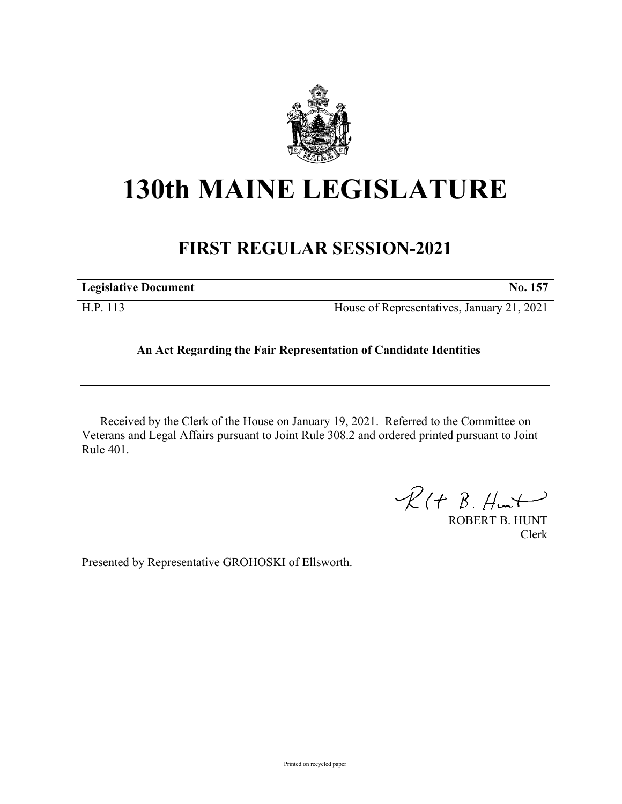

## **130th MAINE LEGISLATURE**

## **FIRST REGULAR SESSION-2021**

| <b>Legislative Document</b> | No. 157                                    |
|-----------------------------|--------------------------------------------|
| H.P. 113                    | House of Representatives, January 21, 2021 |

## **An Act Regarding the Fair Representation of Candidate Identities**

Received by the Clerk of the House on January 19, 2021. Referred to the Committee on Veterans and Legal Affairs pursuant to Joint Rule 308.2 and ordered printed pursuant to Joint Rule 401.

 $\mathcal{R}(t \; \mathcal{B}, \mathcal{H}_{\mathsf{int}})$ 

ROBERT B. HUNT Clerk

Presented by Representative GROHOSKI of Ellsworth.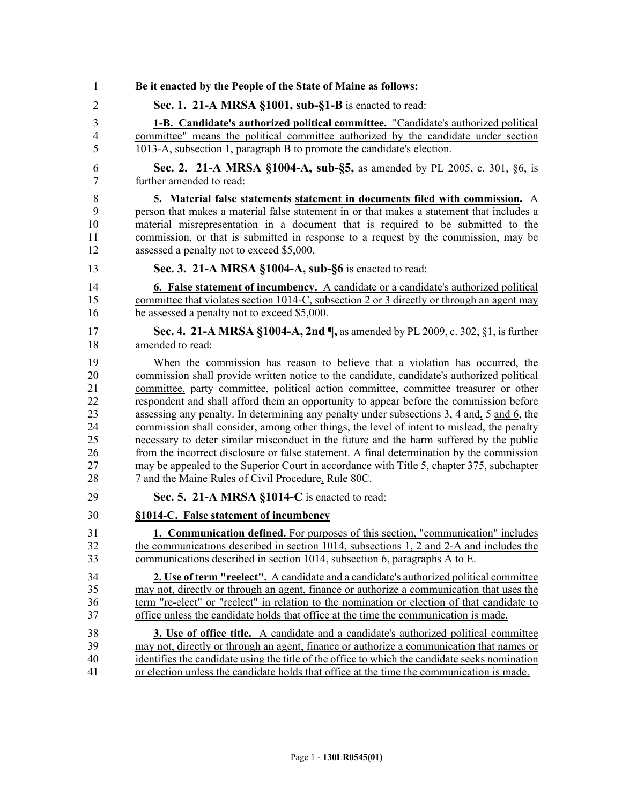| 1              | Be it enacted by the People of the State of Maine as follows:                                     |
|----------------|---------------------------------------------------------------------------------------------------|
| $\overline{2}$ | Sec. 1. 21-A MRSA §1001, sub-§1-B is enacted to read:                                             |
| 3              | <b>1-B.</b> Candidate's authorized political committee. "Candidate's authorized political         |
| $\overline{4}$ | committee" means the political committee authorized by the candidate under section                |
| 5              | 1013-A, subsection 1, paragraph B to promote the candidate's election.                            |
| 6              | Sec. 2. 21-A MRSA §1004-A, sub-§5, as amended by PL 2005, c. 301, §6, is                          |
| 7              | further amended to read:                                                                          |
| 8              | 5. Material false statements statement in documents filed with commission. A                      |
| 9              | person that makes a material false statement in or that makes a statement that includes a         |
| 10             | material misrepresentation in a document that is required to be submitted to the                  |
| 11             | commission, or that is submitted in response to a request by the commission, may be               |
| 12             | assessed a penalty not to exceed \$5,000.                                                         |
| 13             | Sec. 3. 21-A MRSA §1004-A, sub-§6 is enacted to read:                                             |
| 14             | <b>6. False statement of incumbency.</b> A candidate or a candidate's authorized political        |
| 15             | committee that violates section 1014-C, subsection 2 or 3 directly or through an agent may        |
| 16             | be assessed a penalty not to exceed \$5,000.                                                      |
| 17             | Sec. 4. 21-A MRSA §1004-A, 2nd ¶, as amended by PL 2009, c. 302, §1, is further                   |
| 18             | amended to read:                                                                                  |
| 19             | When the commission has reason to believe that a violation has occurred, the                      |
| 20             | commission shall provide written notice to the candidate, candidate's authorized political        |
| 21             | committee, party committee, political action committee, committee treasurer or other              |
| 22             | respondent and shall afford them an opportunity to appear before the commission before            |
| 23             | assessing any penalty. In determining any penalty under subsections 3, 4 and, 5 and 6, the        |
| 24             | commission shall consider, among other things, the level of intent to mislead, the penalty        |
| 25             | necessary to deter similar misconduct in the future and the harm suffered by the public           |
| 26             | from the incorrect disclosure <u>or false statement</u> . A final determination by the commission |
| 27             | may be appealed to the Superior Court in accordance with Title 5, chapter 375, subchapter         |
| $28\,$         | 7 and the Maine Rules of Civil Procedure, Rule 80C.                                               |
| 29             | Sec. 5. 21-A MRSA §1014-C is enacted to read:                                                     |
| 30             | §1014-C. False statement of incumbency                                                            |
| 31             | 1. Communication defined. For purposes of this section, "communication" includes                  |
| 32             | the communications described in section 1014, subsections 1, 2 and 2-A and includes the           |
| 33             | communications described in section 1014, subsection 6, paragraphs A to E.                        |
| 34             | 2. Use of term "reelect". A candidate and a candidate's authorized political committee            |
| 35             | may not, directly or through an agent, finance or authorize a communication that uses the         |
| 36             | term "re-elect" or "reelect" in relation to the nomination or election of that candidate to       |
| 37             | office unless the candidate holds that office at the time the communication is made.              |
| 38             | <b>3.</b> Use of office title. A candidate and a candidate's authorized political committee       |
| 39             | may not, directly or through an agent, finance or authorize a communication that names or         |
| 40             | identifies the candidate using the title of the office to which the candidate seeks nomination    |
| 41             | or election unless the candidate holds that office at the time the communication is made.         |